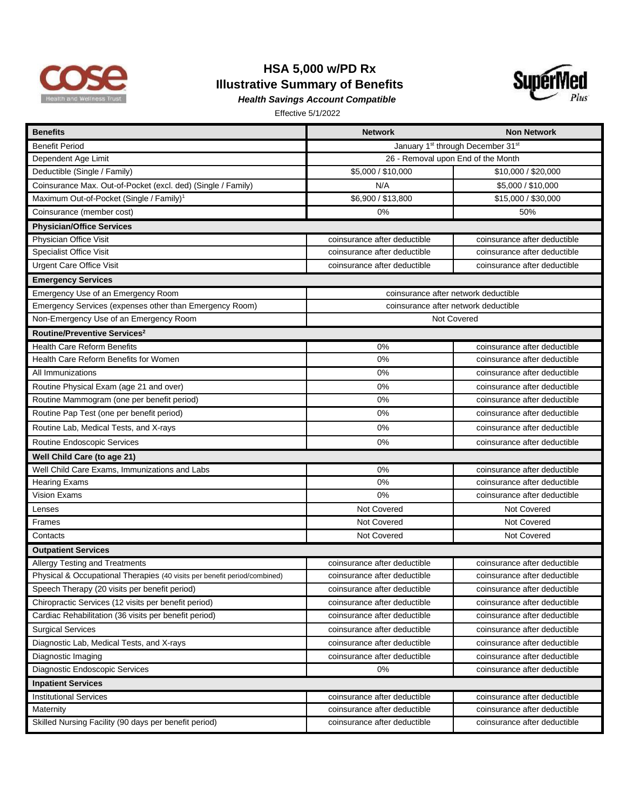

## **HSA 5,000 w/PD Rx Illustrative Summary of Benefits** *Health Savings Account Compatible*



| <b>Benefits</b>                                                           | <b>Network</b>                                            | <b>Non Network</b>           |  |
|---------------------------------------------------------------------------|-----------------------------------------------------------|------------------------------|--|
| <b>Benefit Period</b>                                                     | January 1 <sup>st</sup> through December 31 <sup>st</sup> |                              |  |
| Dependent Age Limit                                                       | 26 - Removal upon End of the Month                        |                              |  |
| Deductible (Single / Family)                                              | \$5,000 / \$10,000                                        | \$10,000 / \$20,000          |  |
| Coinsurance Max. Out-of-Pocket (excl. ded) (Single / Family)              | N/A                                                       | \$5,000 / \$10,000           |  |
| Maximum Out-of-Pocket (Single / Family) <sup>1</sup>                      | \$6,900 / \$13,800                                        | \$15,000 / \$30,000          |  |
| Coinsurance (member cost)                                                 | 0%                                                        | 50%                          |  |
| <b>Physician/Office Services</b>                                          |                                                           |                              |  |
| Physician Office Visit                                                    | coinsurance after deductible                              | coinsurance after deductible |  |
| <b>Specialist Office Visit</b>                                            | coinsurance after deductible                              | coinsurance after deductible |  |
| <b>Urgent Care Office Visit</b>                                           | coinsurance after deductible                              | coinsurance after deductible |  |
| <b>Emergency Services</b>                                                 |                                                           |                              |  |
| Emergency Use of an Emergency Room                                        | coinsurance after network deductible                      |                              |  |
| Emergency Services (expenses other than Emergency Room)                   | coinsurance after network deductible                      |                              |  |
| Non-Emergency Use of an Emergency Room                                    | Not Covered                                               |                              |  |
| Routine/Preventive Services <sup>2</sup>                                  |                                                           |                              |  |
| <b>Health Care Reform Benefits</b>                                        | 0%                                                        | coinsurance after deductible |  |
| Health Care Reform Benefits for Women                                     | 0%                                                        | coinsurance after deductible |  |
| All Immunizations                                                         | 0%                                                        | coinsurance after deductible |  |
| Routine Physical Exam (age 21 and over)                                   | 0%                                                        | coinsurance after deductible |  |
| Routine Mammogram (one per benefit period)                                | 0%                                                        | coinsurance after deductible |  |
| Routine Pap Test (one per benefit period)                                 | 0%                                                        | coinsurance after deductible |  |
| Routine Lab, Medical Tests, and X-rays                                    | 0%                                                        | coinsurance after deductible |  |
| Routine Endoscopic Services                                               | 0%                                                        | coinsurance after deductible |  |
| Well Child Care (to age 21)                                               |                                                           |                              |  |
| Well Child Care Exams, Immunizations and Labs                             | 0%                                                        | coinsurance after deductible |  |
| <b>Hearing Exams</b>                                                      | 0%                                                        | coinsurance after deductible |  |
| Vision Exams                                                              | 0%                                                        | coinsurance after deductible |  |
| Lenses                                                                    | Not Covered                                               | Not Covered                  |  |
| <b>Frames</b>                                                             | Not Covered                                               | Not Covered                  |  |
| Contacts                                                                  | Not Covered                                               | Not Covered                  |  |
| <b>Outpatient Services</b>                                                |                                                           |                              |  |
| <b>Allergy Testing and Treatments</b>                                     | coinsurance after deductible                              | coinsurance after deductible |  |
| Physical & Occupational Therapies (40 visits per benefit period/combined) | coinsurance after deductible                              | coinsurance after deductible |  |
| Speech Therapy (20 visits per benefit period)                             | coinsurance after deductible                              | coinsurance after deductible |  |
| Chiropractic Services (12 visits per benefit period)                      | coinsurance after deductible                              | coinsurance after deductible |  |
| Cardiac Rehabilitation (36 visits per benefit period)                     | coinsurance after deductible                              | coinsurance after deductible |  |
| <b>Surgical Services</b>                                                  | coinsurance after deductible                              | coinsurance after deductible |  |
| Diagnostic Lab, Medical Tests, and X-rays                                 | coinsurance after deductible                              | coinsurance after deductible |  |
| Diagnostic Imaging                                                        | coinsurance after deductible                              | coinsurance after deductible |  |
| Diagnostic Endoscopic Services                                            | 0%                                                        | coinsurance after deductible |  |
| <b>Inpatient Services</b>                                                 |                                                           |                              |  |
| <b>Institutional Services</b>                                             | coinsurance after deductible                              | coinsurance after deductible |  |
| Maternity                                                                 | coinsurance after deductible                              | coinsurance after deductible |  |
| Skilled Nursing Facility (90 days per benefit period)                     | coinsurance after deductible                              | coinsurance after deductible |  |